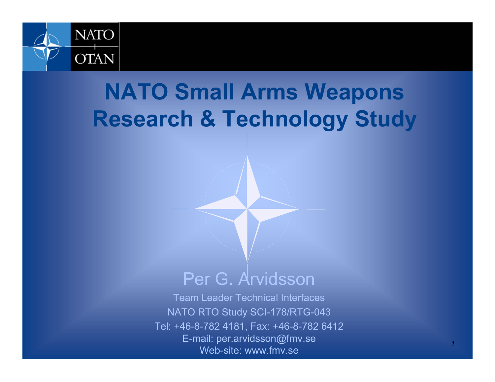

### **NATO Small Arms Weapons Research & Technology Study**

#### Per G. Arvidsson

Team Leader Technical Interfaces NATO RTO Study SCI-178/RTG-043 Tel: +46-8-782 4181, Fax: +46-8-782 6412 E-mail: per.arvidsson@fmv.se Web-site: www.fmv.se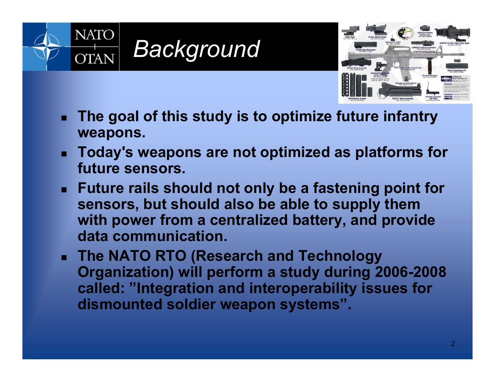



- . **The goal of this study is to optimize future infantry weapons.**
- **Today's weapons are not optimized as platforms for future sensors.**
- **Future rails should not only be a fastening point for sensors, but should also be able to supply them with power from a centralized battery, and provide data communication.**
- **The NATO RTO (Research and Technology Organization) will perform a study during 2006-2008 called: "Integration and interoperability issues for dismounted soldier weapon systems".**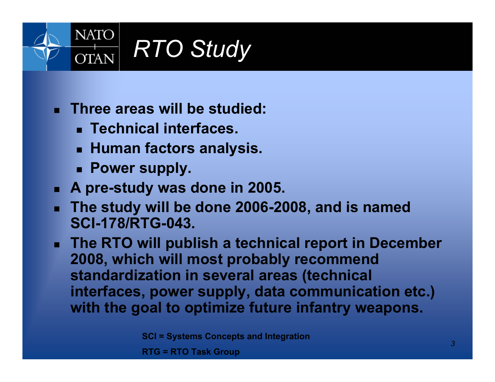

- **Three areas will be studied:**
	- **Technical interfaces.**
	- **Human factors analysis.**
	- **Power supply.**
- **A pre-study was done in 2005.**
- **The study will be done 2006-2008, and is named SCI-178/RTG-043.**
- **The RTO will publish a technical report in December 2008, which will most probably recommend standardization in several areas (technical interfaces, power supply, data communication etc.) with the goal to optimize future infantry weapons.**

**SCI = Systems Concepts and Integration**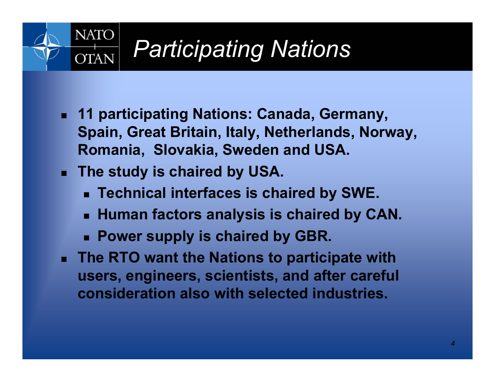#### **NATO** *Participating Nations* **OTAN**

- **11 participating Nations: Canada, Germany, Spain, Great Britain, Italy, Netherlands, Norway, Romania, Slovakia, Sweden and USA.**
- **The study is chaired by USA.**
	- **Technical interfaces is chaired by SWE.**
	- **Human factors analysis is chaired by CAN.**
	- **Power supply is chaired by GBR.**
- $\mathbf{r}$  **The RTO want the Nations to participate with users, engineers, scientists, and after careful consideration also with selected industries.**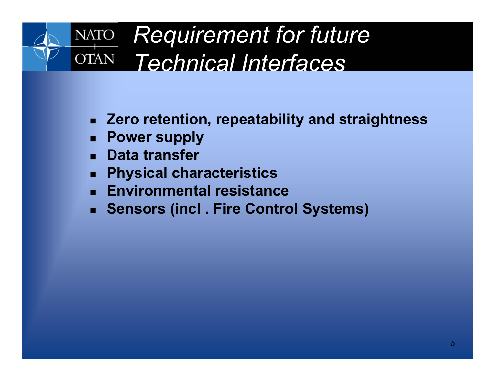#### *Requirement for future*  **NATO OTAN** *Technical Interfaces*

- **Zero retention, repeatability and straightness**
- **Power supply**
- **Data transfer**
- . **Physical characteristics**
- **Environmental resistance**
- **Sensors (incl . Fire Control Systems)**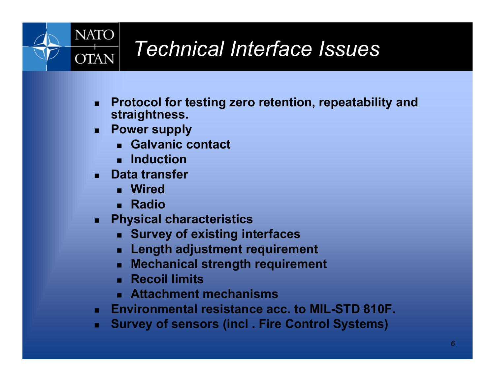

### *Technical Interface Issues*

- $\blacksquare$  **Protocol for testing zero retention, repeatability and straightness.**
- ▉ **Power supply**
	- **Galvanic contact**
	- **Induction**
- ▉ **Data transfer**
	- **Wired**
	- **Radio**
- $\blacksquare$  **Physical characteristics**
	- **Survey of existing interfaces**
	- E **Length adjustment requirement**
	- L **Mechanical strength requirement**
	- **Recoil limits**
	- **Attachment mechanisms**
- $\mathbf{r}$ **Environmental resistance acc. to MIL-STD 810F.**
- $\blacksquare$ **Survey of sensors (incl . Fire Control Systems)**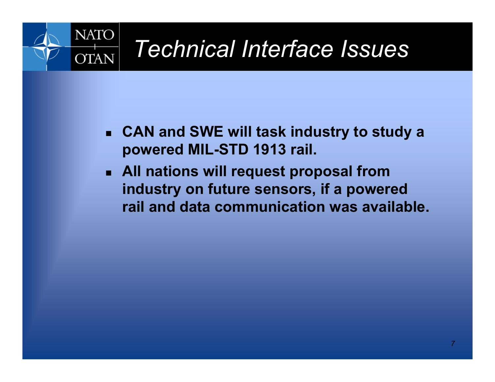

### *Technical Interface Issues*

- **CAN and SWE will task industry to study a powered MIL-STD 1913 rail.**
- **All nations will request proposal from industry on future sensors, if a powered rail and data communication was available.**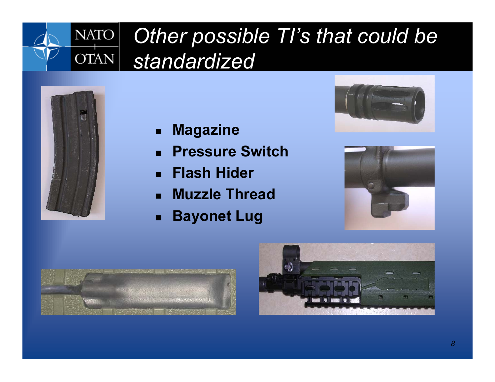#### *Other possible TI's that could be*  **NATO** OTAN<sup>|</sup> *standardized*



- $\blacksquare$ **Magazine**
- $\blacksquare$ **Pressure Switch**
- П **Flash Hider**
- $\mathbf{r}$ **Muzzle Thread**
- $\blacksquare$ **Bayonet Lug**







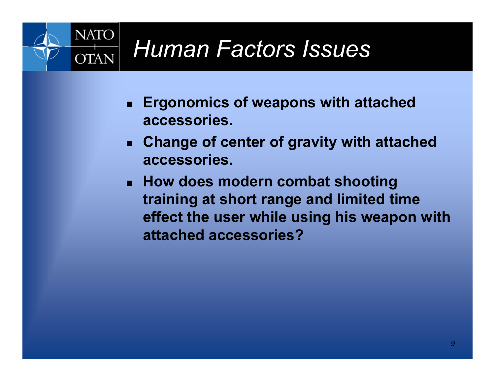

- **Ergonomics of weapons with attached accessories.**
- **Change of center of gravity with attached accessories.**
- **How does modern combat shooting training at short range and limited time effect the user while using his weapon with attached accessories?**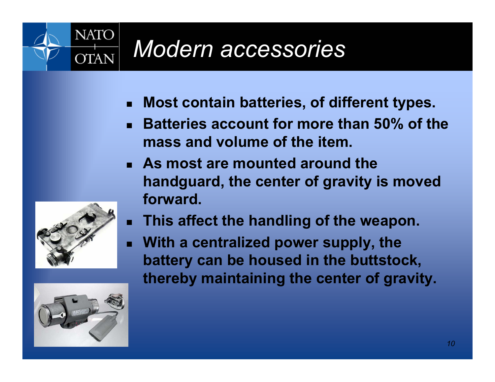

## *Modern accessories*

- **Most contain batteries, of different types.**
- **Batteries account for more than 50% of the mass and volume of the item.**
- **As most are mounted around the handguard, the center of gravity is moved forward.**



 **With a centralized power supply, the battery can be housed in the buttstock, thereby maintaining the center of gravity.**



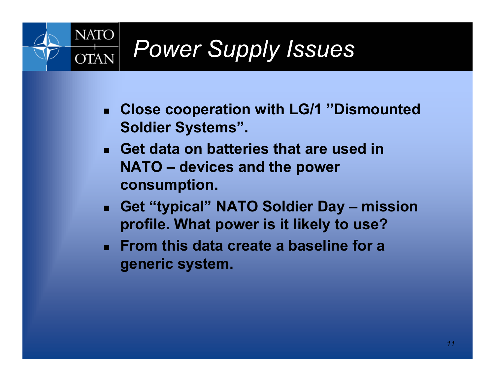

- **Close cooperation with LG/1 "Dismounted Soldier Systems".**
- **Get data on batteries that are used in NATO – devices and the power consumption.**
- **Get "typical" NATO Soldier Day – mission profile. What power is it likely to use?**
- **From this data create a baseline for a generic system.**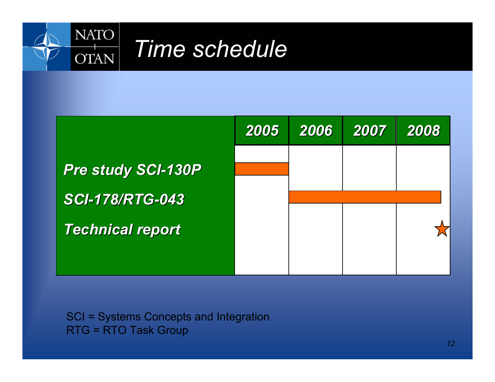



SCI = Systems Concepts and Integration RTG = RTO Task Group